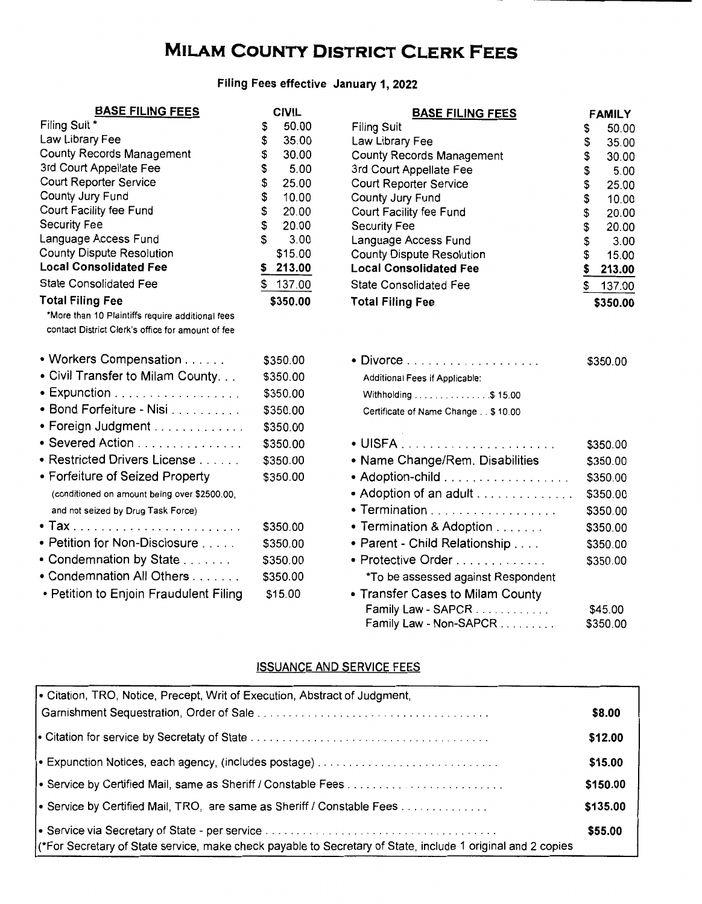# **MILAM COUNTY DISTRICT CLERK FEES**

### **Filing Fees effective January 1, 2022**

| <b>BASE FILING FEES</b>                                                                               | <b>CIVIL</b> | <b>BASE FILING FEES</b>             | <b>FAMILY</b> |  |
|-------------------------------------------------------------------------------------------------------|--------------|-------------------------------------|---------------|--|
| Filing Suit *                                                                                         | \$<br>50.00  | <b>Filing Suit</b>                  | \$<br>50.00   |  |
| Law Library Fee                                                                                       | \$<br>35.00  | Law Library Fee                     | \$<br>35.00   |  |
| <b>County Records Management</b>                                                                      | \$<br>30.00  | County Records Management           | \$<br>30.00   |  |
| 3rd Court Appellate Fee                                                                               | \$<br>5.00   | 3rd Court Appellate Fee             | \$<br>5.00    |  |
| Court Reporter Service                                                                                | \$<br>25.00  | Court Reporter Service              | \$<br>25.00   |  |
| County Jury Fund                                                                                      | \$<br>10.00  | County Jury Fund                    | \$<br>10.00   |  |
| Court Facility fee Fund                                                                               | \$<br>20.00  | Court Facility fee Fund             | \$<br>20.00   |  |
| <b>Security Fee</b>                                                                                   | \$<br>20.00  | <b>Security Fee</b>                 | \$<br>20.00   |  |
| Language Access Fund                                                                                  | \$<br>3.00   | Language Access Fund                | \$<br>3.00    |  |
| <b>County Dispute Resolution</b>                                                                      | \$15.00      | <b>County Dispute Resolution</b>    | \$<br>15.00   |  |
| <b>Local Consolidated Fee</b>                                                                         | \$213.00     | <b>Local Consolidated Fee</b>       | \$<br>213.00  |  |
| <b>State Consolidated Fee</b>                                                                         | \$137.00     | <b>State Consolidated Fee</b>       | \$137.00      |  |
| <b>Total Filing Fee</b>                                                                               | \$350.00     | <b>Total Filing Fee</b>             | \$350.00      |  |
| *More than 10 Plaintiffs require additional fees<br>contact District Clerk's office for amount of fee |              |                                     |               |  |
| • Workers Compensation                                                                                | \$350.00     |                                     | \$350.00      |  |
| • Civil Transfer to Milam County                                                                      | \$350.00     | Additional Fees if Applicable:      |               |  |
| • Expunction                                                                                          | \$350.00     | Withholding \$ 15.00                |               |  |
| • Bond Forfeiture - Nisi                                                                              | \$350.00     | Certificate of Name Change \$ 10.00 |               |  |
| • Foreign Judgment                                                                                    | \$350.00     |                                     |               |  |
| • Severed Action                                                                                      | \$350.00     |                                     | \$350.00      |  |
| • Restricted Drivers License                                                                          | \$350.00     | • Name Change/Rem. Disabilities     | \$350.00      |  |
| • Forfeiture of Seized Property                                                                       | \$350.00     | • Adoption-child                    | \$350.00      |  |
| (conditioned on amount being over \$2500.00,                                                          |              | • Adoption of an adult              | \$350.00      |  |
| and not seized by Drug Task Force)                                                                    |              | • Termination                       | \$350.00      |  |
|                                                                                                       | \$350.00     | • Termination & Adoption            | \$350.00      |  |
| • Petition for Non-Disclosure                                                                         | \$350.00     | • Parent - Child Relationship       | \$350.00      |  |
| • Condemnation by State                                                                               | \$350.00     | • Protective Order                  | \$350.00      |  |
| • Condemnation All Others                                                                             | \$350.00     | *To be assessed against Respondent  |               |  |
| • Petition to Enjoin Fraudulent Filing                                                                | \$15.00      | • Transfer Cases to Milam County    |               |  |
|                                                                                                       |              | Family Law - SAPCR                  | \$45.00       |  |
|                                                                                                       |              | Family Law - Non-SAPCR              | \$350.00      |  |

### ISSUANCE AND SERVICE FEES

| . Citation, TRO, Notice, Precept, Writ of Execution, Abstract of Judgment,                                  |          |  |  |
|-------------------------------------------------------------------------------------------------------------|----------|--|--|
|                                                                                                             |          |  |  |
|                                                                                                             | \$12.00  |  |  |
|                                                                                                             | \$15.00  |  |  |
|                                                                                                             | \$150.00 |  |  |
| $\bullet$ Service by Certified Mail, TRO, are same as Sheriff / Constable Fees                              | \$135.00 |  |  |
| (*For Secretary of State service, make check payable to Secretary of State, include 1 original and 2 copies | \$55.00  |  |  |